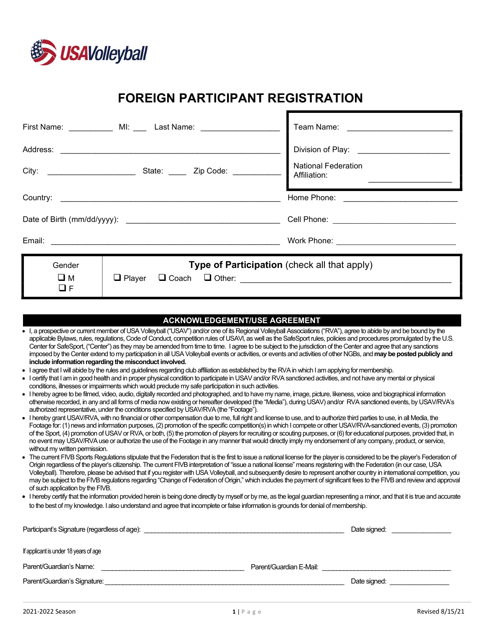

# FOREIGN PARTICIPANT REGISTRATION

F

|                                                                                                               | First Name: ____________ MI: ____ Last Name: _______________ |                                                                                      |  |
|---------------------------------------------------------------------------------------------------------------|--------------------------------------------------------------|--------------------------------------------------------------------------------------|--|
| Address: 2008. 2008. 2009. 2010. 2010. 2010. 2010. 2010. 2010. 2010. 2010. 2010. 2010. 2010. 2010. 2010. 2010 |                                                              | Division of Play: ____________________<br><b>National Federation</b><br>Affiliation: |  |
|                                                                                                               |                                                              | Home Phone: _________________                                                        |  |
|                                                                                                               |                                                              |                                                                                      |  |
|                                                                                                               |                                                              |                                                                                      |  |
| Gender<br>$\square$ M<br>$\Box F$                                                                             | Type of Participation (check all that apply)                 |                                                                                      |  |

| <b>ACKNOWLEDGEMENT/USE AGREEMENT</b>                                                                                                                                                                                                                                                                                  |                                                                                                                                                                                                                                                                                                                                                                                                                                                                                                                                                                                                                                                                                                                                                    |  |  |
|-----------------------------------------------------------------------------------------------------------------------------------------------------------------------------------------------------------------------------------------------------------------------------------------------------------------------|----------------------------------------------------------------------------------------------------------------------------------------------------------------------------------------------------------------------------------------------------------------------------------------------------------------------------------------------------------------------------------------------------------------------------------------------------------------------------------------------------------------------------------------------------------------------------------------------------------------------------------------------------------------------------------------------------------------------------------------------------|--|--|
|                                                                                                                                                                                                                                                                                                                       | • I, a prospective or current member of USA Volleyball ("USAV") and/or one of its Regional Volleyball Associations ("RVA"), agree to abide by and be bound by the<br>applicable Bylaws, rules, regulations, Code of Conduct, competition rules of USAVI, as well as the SafeSport rules, policies and procedures promulgated by the U.S.<br>Center for SafeSport, ("Center") as they may be amended from time to time. I agree to be subject to the jurisdiction of the Center and agree that any sanctions<br>imposed by the Center extend to my participation in all USA Volleyball events or activities, or events and activities of other NGBs, and may be posted publicly and<br>include information regarding the misconduct involved.       |  |  |
|                                                                                                                                                                                                                                                                                                                       | • I agree that I will abide by the rules and guidelines regarding club affiliation as established by the RVA in which I am applying for membership.                                                                                                                                                                                                                                                                                                                                                                                                                                                                                                                                                                                                |  |  |
|                                                                                                                                                                                                                                                                                                                       | • I certify that I am in good health and in proper physical condition to participate in USAV and/or RVA sanctioned activities, and not have any mental or physical<br>conditions, illnesses or impairments which would preclude my safe participation in such activities.                                                                                                                                                                                                                                                                                                                                                                                                                                                                          |  |  |
|                                                                                                                                                                                                                                                                                                                       | • I hereby agree to be filmed, video, audio, digitally recorded and photographed, and to have my name, image, picture, likeness, voice and biographical information<br>otherwise recorded, in any and all forms of media now existing or hereafter developed (the "Media"), during USAV) and/or RVA sanctioned events, by USAV/RVA's<br>authorized representative, under the conditions specified by USAV/RVA (the "Footage").                                                                                                                                                                                                                                                                                                                     |  |  |
|                                                                                                                                                                                                                                                                                                                       | • I hereby grant USAV/RVA, with no financial or other compensation due to me, full right and license to use, and to authorize third parties to use, in all Media, the<br>Footage for: (1) news and information purposes, (2) promotion of the specific competition(s) in which I compete or other USAV/RVA-sanctioned events, (3) promotion<br>of the Sport, (4) promotion of USAV or RVA, or both, (5) the promotion of players for recruiting or scouting purposes, or (6) for educational purposes, provided that, in<br>no event may USAV/RVA use or authorize the use of the Footage in any manner that would directly imply my endorsement of any company, product, or service,<br>without my written permission.                            |  |  |
|                                                                                                                                                                                                                                                                                                                       | • The current FIVB Sports Regulations stipulate that the Federation that is the first to issue a national license for the player is considered to be the player's Federation of<br>Origin regardless of the player's citizenship. The current FIVB interpretation of "issue a national license" means registering with the Federation (in our case, USA<br>Volleyball). Therefore, please be advised that if you register with USA Volleyball, and subsequently desire to represent another country in international competition, you<br>may be subject to the FIVB regulations regarding "Change of Federation of Origin," which includes the payment of significant fees to the FIVB and review and approval<br>of such application by the FIVB. |  |  |
| • I hereby certify that the information provided herein is being done directly by myself or by me, as the legal guardian representing a minor, and that it is true and accurate<br>to the best of my knowledge. I also understand and agree that incomplete or false information is grounds for denial of membership. |                                                                                                                                                                                                                                                                                                                                                                                                                                                                                                                                                                                                                                                                                                                                                    |  |  |
|                                                                                                                                                                                                                                                                                                                       | Participant's Signature (regardless of age):<br>Date signed:                                                                                                                                                                                                                                                                                                                                                                                                                                                                                                                                                                                                                                                                                       |  |  |
|                                                                                                                                                                                                                                                                                                                       | If applicant is under 18 years of age                                                                                                                                                                                                                                                                                                                                                                                                                                                                                                                                                                                                                                                                                                              |  |  |
|                                                                                                                                                                                                                                                                                                                       | Parent/Guardian's Name:<br>Parent/Guardian E-Mail:                                                                                                                                                                                                                                                                                                                                                                                                                                                                                                                                                                                                                                                                                                 |  |  |
|                                                                                                                                                                                                                                                                                                                       | Parent/Guardian's Signature:<br>Date signed:                                                                                                                                                                                                                                                                                                                                                                                                                                                                                                                                                                                                                                                                                                       |  |  |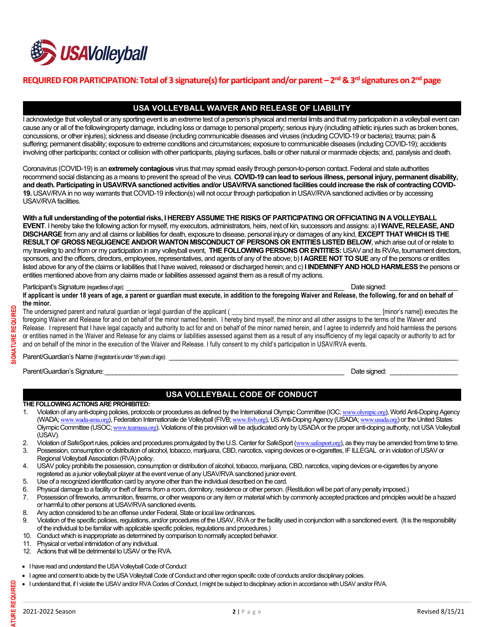

## REQUIRED FOR PARTICIPATION: Total of 3 signature(s) for participant and/or parent – 2<sup>nd</sup> & 3<sup>rd</sup> signatures on 2<sup>nd</sup> page

## USA VOLLEYBALL WAIVER AND RELEASE OF LIABILITY

I acknowledge that volleyball or any sporting event is an extreme test of a person's physical and mental limits and that my participation in a volleyball event can cause any or all of the followingroperty damage, including loss or damage to personal property; serious injury (including athletic injuries such as broken bones, concussions, or other injuries); sickness and disease (including communicable diseases and viruses (including COVID-19 or bacteria); trauma; pain & suffering; permanent disability; exposure to extreme conditions and circumstances; exposure to communicable diseases (including COVID-19); accidents involving other participants; contact or collision with other participants, playing surfaces, balls or other natural or manmade objects; and, paralysis and death.

Coronavirus (COVID-19) is an extremely contagious virus that may spread easily through person-to-person contact. Federal and state authorities recommend social distancing as a means to prevent the spread of the virus. COVID-19 can lead to serious illness, personal injury, permanent disability, and death. Participating in USAV/RVA sanctioned activities and/or USAV/RVA sanctioned facilities could increase the risk of contracting COVID-19. USAV/RVA in no way warrants that COVID-19 infection(s) will not occur through participation in USAV/RVA sanctioned activities or by accessing USAV/RVA facilities.

With a full understanding of the potential risks, I HEREBY ASSUME THE RISKS OF PARTICIPATING OR OFFICIATING IN A VOLLEYBALL EVENT. I hereby take the following action for myself, my executors, administrators, heirs, next of kin, successors and assigns: a) I WAIVE, RELEASE, AND DISCHARGE from any and all claims or liabilities for death, exposure to disease, personal injury or damages of any kind, EXCEPT THAT WHICH IS THE RESULT OF GROSS NEGLIGENCE AND/OR WANTON MISCONDUCT OF PERSONS OR ENTITIES LISTED BELOW, which arise out of or relate to my traveling to and from or my participation in any volleyball event, THE FOLLOWING PERSONS OR ENTITIES: USAV and its RVAs, tournament directors, sponsors, and the officers, directors, employees, representatives, and agents of any of the above; b) **I AGREE NOT TO SUE** any of the persons or entities listed above for any of the claims or liabilities that I have waived, released or discharged herein; and c) I INDEMNIFY AND HOLD HARMLESS the persons or entities mentioned above from any claims made or liabilities assessed against them as a result of my actions.

#### Participant's Signature (regardless of age): \_\_\_\_\_\_\_\_\_\_\_\_\_\_\_\_\_\_\_\_\_\_\_\_\_\_\_\_\_\_\_\_\_\_\_\_\_\_\_\_\_\_\_\_\_\_\_\_\_\_\_\_\_\_\_\_\_\_\_\_\_ Date signed: \_\_\_\_\_\_\_\_\_\_\_\_\_\_\_\_\_\_\_

If applicant is under 18 years of age, a parent or guardian must execute, in addition to the foregoing Waiver and Release, the following, for and on behalf of the minor.

The undersigned parent and natural guardian or legal guardian of the applicant ( \_\_\_\_\_\_\_\_\_\_\_\_\_\_\_\_\_\_\_\_\_\_\_\_\_\_\_\_\_\_\_\_\_\_\_\_\_\_\_\_\_\_\_\_\_\_ [minor's name]) executes the foregoing Waiver and Release for and on behalf of the minor named herein. I hereby bind myself, the minor and all other assigns to the terms of the Waiver and Release. I represent that I have legal capacity and authority to act for and on behalf of the minor named herein, and I agree to indemnify and hold harmless the persons or entities named in the Waiver and Release for any claims or liabilities assessed against them as a result of any insufficiency of my legal capacity or authority to act for and on behalf of the minor in the execution of the Waiver and Release. I fully consent to my child's participation in USAV/RVA events. The undersigned parent and natural guardian or legal guardian of the applicant (<br>
The undersigned parent and natural guardian or legal guardian of the applicant (<br>
The correction of Release for and on behalf of the minor n

Parent/Guardian's Name (if registrant is under 18 years of age): \_\_\_\_\_\_\_\_\_\_\_\_\_\_\_

## USA VOLLEYBALL CODE OF CONDUCT

#### THE FOLLOWING ACTIONS ARE PROHIBITED:

- 1. Violation of any anti-doping policies, protocols or procedures as defined by the International Olympic Committee (IOC; www.olympic.org), World Anti-Doping Agency (WADA; www.wada-ama.org), Federation Internationale de Volleyball (FIVB; www.fivb.org), US Anti-Doping Agency (USADA; www.usada.org) or the United States Olympic Committee (USOC; www.teamusa.org). Violations of this provision will be adjudicated only by USADA or the proper anti-doping authority, not USA Volleyball (USAV).
- 2. Violation of SafeSport rules, policies and procedures promulgated by the U.S. Center for SafeSport (www.safesport.org), as they may be amended from time to time.
- 3. Possession, consumption or distribution of alcohol, tobacco, marijuana, CBD, narcotics, vaping devices or e-cigarettes, IF ILLEGAL or in violation of USAV or Regional Volleyball Association (RVA) policy.
- 4. USAV policy prohibits the possession, consumption or distribution of alcohol, tobacco, marijuana, CBD, narcotics, vaping devices or e-cigarettes by anyone registered as a junior volleyball player at the event venue of any USAV/RVA sanctioned junior event.
- 5. Use of a recognized identification card by anyone other than the individual described on the card.
- 6. Physical damage to a facility or theft of items from a room, dormitory, residence or other person. (Restitution will be part of any penalty imposed.)
- 7. Possession of fireworks, ammunition, firearms, or other weapons or any item or material which by commonly accepted practices and principles would be a hazard or harmful to other persons at USAV/RVA sanctioned events.
- 8. Any action considered to be an offense under Federal, State or local law ordinances.
- 9. Violation of the specific policies, regulations, and/or procedures of the USAV, RVA or the facility used in conjunction with a sanctioned event. (It is the responsibility of the individual to be familiar with applicable specific policies, regulations and procedures.)
- 10. Conduct which is inappropriate as determined by comparison to normally accepted behavior.
- 11. Physical or verbal intimidation of any individual.
- 12. Actions that will be detrimental to USAV or the RVA.
- I have read and understand the USA Volleyball Code of Conduct
- I agree and consent to abide by the USA Volleyball Code of Conduct and other region specific code of conducts and/or disciplinary policies.
- I understand that, if I violate the USAV and/or RVA Codes of Conduct, I might be subject to disciplinary action in accordance with USAV and/or RVA.<br>
I understand that, if I violate the USAV and/or RVA Codes of Conduct, I m